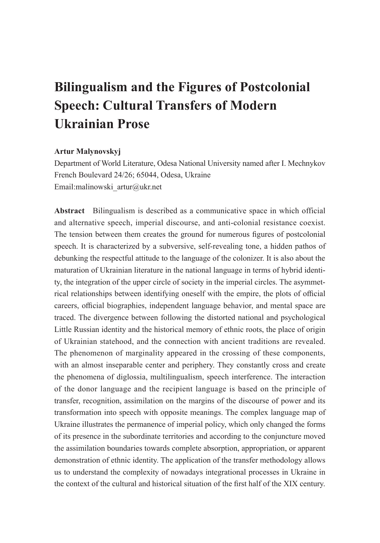# **Bilingualism and the Figures of Postcolonial Speech: Cultural Transfers of Modern Ukrainian Prose**

# **Artur Malynovskyj**

Department of World Literature, Odesa National University named after I. Mechnykov French Boulevard 24/26; 65044, Odesa, Ukraine Email:malinowski\_artur@ukr.net

**Abstract** Bilingualism is described as a communicative space in which official and alternative speech, imperial discourse, and anti-colonial resistance coexist. The tension between them creates the ground for numerous figures of postcolonial speech. It is characterized by a subversive, self-revealing tone, a hidden pathos of debunking the respectful attitude to the language of the colonizer. It is also about the maturation of Ukrainian literature in the national language in terms of hybrid identity, the integration of the upper circle of society in the imperial circles. The asymmetrical relationships between identifying oneself with the empire, the plots of official careers, official biographies, independent language behavior, and mental space are traced. The divergence between following the distorted national and psychological Little Russian identity and the historical memory of ethnic roots, the place of origin of Ukrainian statehood, and the connection with ancient traditions are revealed. The phenomenon of marginality appeared in the crossing of these components, with an almost inseparable center and periphery. They constantly cross and create the phenomena of diglossia, multilingualism, speech interference. The interaction of the donor language and the recipient language is based on the principle of transfer, recognition, assimilation on the margins of the discourse of power and its transformation into speech with opposite meanings. The complex language map of Ukraine illustrates the permanence of imperial policy, which only changed the forms of its presence in the subordinate territories and according to the conjuncture moved the assimilation boundaries towards complete absorption, appropriation, or apparent demonstration of ethnic identity. The application of the transfer methodology allows us to understand the complexity of nowadays integrational processes in Ukraine in the context of the cultural and historical situation of the first half of the XIX century.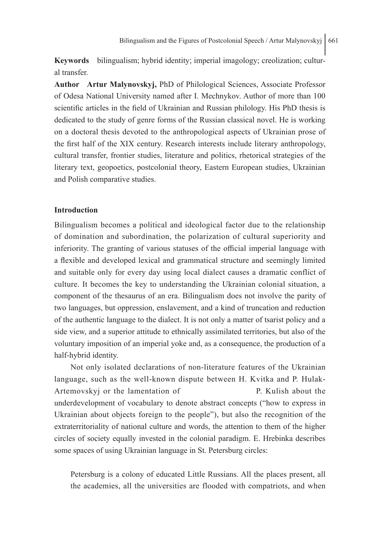**Keywords** bilingualism; hybrid identity; imperial imagology; creolization; cultural transfer.

**Author Artur Malynovskyj,** PhD of Philological Sciences, Associate Professor of Odesa National University named after I. Mechnykov. Author of more than 100 scientific articles in the field of Ukrainian and Russian philology. His PhD thesis is dedicated to the study of genre forms of the Russian classical novel. He is working on a doctoral thesis devoted to the anthropological aspects of Ukrainian prose of the first half of the XIX century. Research interests include literary anthropology, cultural transfer, frontier studies, literature and politics, rhetorical strategies of the literary text, geopoetics, postcolonial theory, Eastern European studies, Ukrainian and Polish comparative studies.

# **Introduction**

Bilingualism becomes a political and ideological factor due to the relationship of domination and subordination, the polarization of cultural superiority and inferiority. The granting of various statuses of the official imperial language with a flexible and developed lexical and grammatical structure and seemingly limited and suitable only for every day using local dialect causes a dramatic conflict of culture. It becomes the key to understanding the Ukrainian colonial situation, a component of the thesaurus of an era. Bilingualism does not involve the parity of two languages, but oppression, enslavement, and a kind of truncation and reduction of the authentic language to the dialect. It is not only a matter of tsarist policy and a side view, and a superior attitude to ethnically assimilated territories, but also of the voluntary imposition of an imperial yoke and, as a consequence, the production of a half-hybrid identity.

Not only isolated declarations of non-literature features of the Ukrainian language, such as the well-known dispute between H. Kvitka and P. Hulak-Artemovskyj or the lamentation of P. Kulish about the underdevelopment of vocabulary to denote abstract concepts ("how to express in Ukrainian about objects foreign to the people"), but also the recognition of the extraterritoriality of national culture and words, the attention to them of the higher circles of society equally invested in the colonial paradigm. E. Hrebinka describes some spaces of using Ukrainian language in St. Petersburg circles:

Petersburg is a colony of educated Little Russians. All the places present, all the academies, all the universities are flooded with compatriots, and when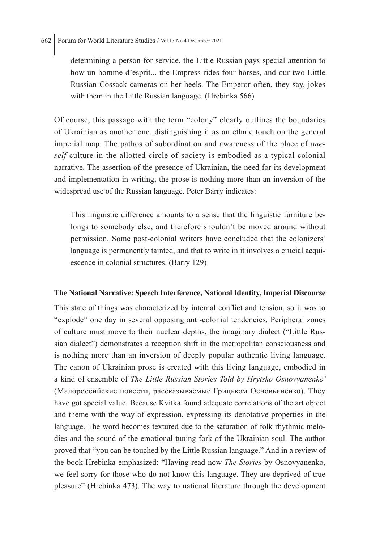determining a person for service, the Little Russian pays special attention to how un homme d'esprit... the Empress rides four horses, and our two Little Russian Cossack cameras on her heels. The Emperor often, they say, jokes with them in the Little Russian language. (Hrebinka 566)

Of course, this passage with the term "colony" clearly outlines the boundaries of Ukrainian as another one, distinguishing it as an ethnic touch on the general imperial map. The pathos of subordination and awareness of the place of *oneself* culture in the allotted circle of society is embodied as a typical colonial narrative. The assertion of the presence of Ukrainian, the need for its development and implementation in writing, the prose is nothing more than an inversion of the widespread use of the Russian language. Peter Barry indicates:

This linguistic difference amounts to a sense that the linguistic furniture belongs to somebody else, and therefore shouldn't be moved around without permission. Some post-colonial writers have concluded that the colonizers' language is permanently tainted, and that to write in it involves a crucial acquiescence in colonial structures. (Barry 129)

## **The National Narrative: Speech Interference, National Identity, Imperial Discourse**

This state of things was characterized by internal conflict and tension, so it was to "explode" one day in several opposing anti-colonial tendencies. Peripheral zones of culture must move to their nuclear depths, the imaginary dialect ("Little Russian dialect") demonstrates a reception shift in the metropolitan consciousness and is nothing more than an inversion of deeply popular authentic living language. The canon of Ukrainian prose is created with this living language, embodied in a kind of ensemble of *The Little Russian Stories Told by Hrytsko Osnovyanenko'*  (Малороссийские повести, рассказываемые Грицьком Основьяненко). They have got special value. Because Kvitka found adequate correlations of the art object and theme with the way of expression, expressing its denotative properties in the language. The word becomes textured due to the saturation of folk rhythmic melodies and the sound of the emotional tuning fork of the Ukrainian soul. The author proved that "you can be touched by the Little Russian language." And in a review of the book Hrebinka emphasized: "Having read now *The Stories* by Osnovyanenko, we feel sorry for those who do not know this language. They are deprived of true pleasure" (Hrebinka 473). The way to national literature through the development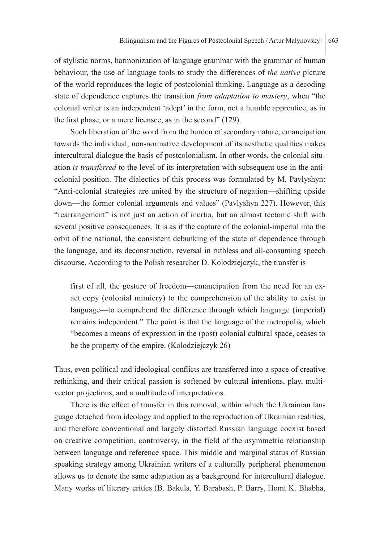of stylistic norms, harmonization of language grammar with the grammar of human behaviour, the use of language tools to study the differences of *the native* picture of the world reproduces the logic of postcolonial thinking. Language as a decoding state of dependence captures the transition *from adaptation to mastery*, when "the colonial writer is an independent 'adept' in the form, not a humble apprentice, as in the first phase, or a mere licensee, as in the second" (129).

Such liberation of the word from the burden of secondary nature, emancipation towards the individual, non-normative development of its aesthetic qualities makes intercultural dialogue the basis of postcolonialism. In other words, the colonial situation *is transferred* to the level of its interpretation with subsequent use in the anticolonial position. The dialectics of this process was formulated by M. Pavlyshyn: "Anti-colonial strategies are united by the structure of negation—shifting upside down—the former colonial arguments and values" (Pavlyshyn 227). However, this "rearrangement" is not just an action of inertia, but an almost tectonic shift with several positive consequences. It is as if the capture of the colonial-imperial into the orbit of the national, the consistent debunking of the state of dependence through the language, and its deconstruction, reversal in ruthless and all-consuming speech discourse. According to the Polish researcher D. Kolodziejczyk, the transfer is

first of all, the gesture of freedom—emancipation from the need for an exact copy (colonial mimicry) to the comprehension of the ability to exist in language—to comprehend the difference through which language (imperial) remains independent." The point is that the language of the metropolis, which "becomes a means of expression in the (post) colonial cultural space, ceases to be the property of the empire. (Kolodziejczyk 26)

Thus, even political and ideological conflicts are transferred into a space of creative rethinking, and their critical passion is softened by cultural intentions, play, multivector projections, and a multitude of interpretations.

There is the effect of transfer in this removal, within which the Ukrainian language detached from ideology and applied to the reproduction of Ukrainian realities, and therefore conventional and largely distorted Russian language coexist based on creative competition, controversy, in the field of the asymmetric relationship between language and reference space. This middle and marginal status of Russian speaking strategy among Ukrainian writers of a culturally peripheral phenomenon allows us to denote the same adaptation as a background for intercultural dialogue. Many works of literary critics (B. Bakula, Y. Barabash, P. Barry, Homi K. Bhabha,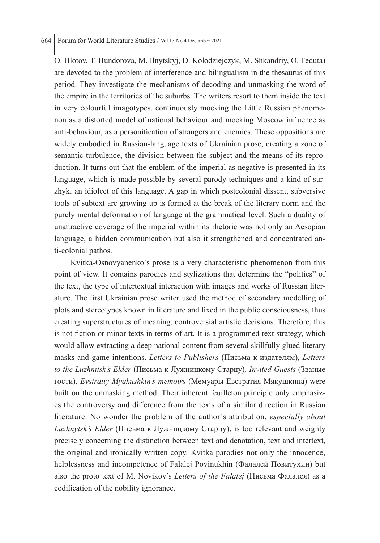O. Hlotov, T. Hundorova, M. Ilnytskyj, D. Kolodziejczyk, M. Shkandriy, O. Feduta) are devoted to the problem of interference and bilingualism in the thesaurus of this period. They investigate the mechanisms of decoding and unmasking the word of the empire in the territories of the suburbs. The writers resort to them inside the text in very colourful imagotypes, continuously mocking the Little Russian phenomenon as a distorted model of national behaviour and mocking Moscow influence as anti-behaviour, as a personification of strangers and enemies. These oppositions are widely embodied in Russian-language texts of Ukrainian prose, creating a zone of semantic turbulence, the division between the subject and the means of its reproduction. It turns out that the emblem of the imperial as negative is presented in its language, which is made possible by several parody techniques and a kind of surzhyk, an idiolect of this language. A gap in which postcolonial dissent, subversive tools of subtext are growing up is formed at the break of the literary norm and the purely mental deformation of language at the grammatical level. Such a duality of unattractive coverage of the imperial within its rhetoric was not only an Aesopian language, a hidden communication but also it strengthened and concentrated anti-colonial pathos.

Kvitka-Osnovyanenko's prose is a very characteristic phenomenon from this point of view. It contains parodies and stylizations that determine the "politics" of the text, the type of intertextual interaction with images and works of Russian literature. The first Ukrainian prose writer used the method of secondary modelling of plots and stereotypes known in literature and fixed in the public consciousness, thus creating superstructures of meaning, controversial artistic decisions. Therefore, this is not fiction or minor texts in terms of art. It is a programmed text strategy, which would allow extracting a deep national content from several skillfully glued literary masks and game intentions. *Letters to Publishers* (Письма к издателям)*, Letters to the Luzhnitsk's Elder* (Письма к Лужницкому Старцу)*, Invited Guests* (Званые гости)*, Evstratiy Myakushkin's memoirs* (Мемуары Евстратия Мякушкина) were built on the unmasking method. Their inherent feuilleton principle only emphasizes the controversy and difference from the texts of a similar direction in Russian literature. No wonder the problem of the author's attribution, *especially about Luzhnytsk's Elder* (Письма к Лужницкому Старцу), is too relevant and weighty precisely concerning the distinction between text and denotation, text and intertext, the original and ironically written copy. Kvitka parodies not only the innocence, helplessness and incompetence of Falalej Povinukhin (Фалалей Повитухин) but also the proto text of M. Novikov's *Letters of the Falalej* (Письма Фалалея) as a codification of the nobility ignorance.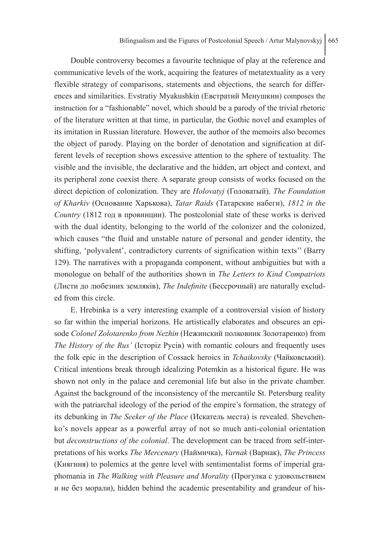Double controversy becomes a favourite technique of play at the reference and communicative levels of the work, acquiring the features of metatextuality as a very flexible strategy of comparisons, statements and objections, the search for differences and similarities. Evstratiy Myakushkin (Евстратий Менушкин) composes the instruction for a "fashionable" novel, which should be a parody of the trivial rhetoric of the literature written at that time, in particular, the Gothic novel and examples of its imitation in Russian literature. However, the author of the memoirs also becomes the object of parody. Playing on the border of denotation and signification at different levels of reception shows excessive attention to the sphere of textuality. The visible and the invisible, the declarative and the hidden, art object and context, and its peripheral zone coexist there. A separate group consists of works focused on the direct depiction of colonization. They are *Holovatyj* (Головатый)*, The Foundation of Kharkiv* (Основание Харькова), *Tatar Raids* (Татарские набеги), *1812 in the Country* (1812 год в провинции). The postcolonial state of these works is derived with the dual identity, belonging to the world of the colonizer and the colonized, which causes "the fluid and unstable nature of personal and gender identity, the shifting, 'polyvalent', contradictory currents of signification within texts'' (Barry 129). The narratives with a propaganda component, without ambiguities but with a monologue on behalf of the authorities shown in *The Letters to Kind Compatriots* (Листи до любезних земляків), *The Indefinite* (Бессрочный) are naturally excluded from this circle.

E. Hrebinka is a very interesting example of a controversial vision of history so far within the imperial horizons. He artistically elaborates and obscures an episode *Colonel Zolotarenko from Nezhin* (Нежинский полковник Золотаренко) from *The History of the Rus'* (Історіz Русів) with romantic colours and frequently uses the folk epic in the description of Cossack heroics in *Tchaikovsky* (Чайковський). Critical intentions break through idealizing Potemkin as a historical figure. He was shown not only in the palace and ceremonial life but also in the private chamber. Against the background of the inconsistency of the mercantile St. Petersburg reality with the patriarchal ideology of the period of the empire's formation, the strategy of its debunking in *The Seeker of the Place* (Искатель места) is revealed. Shevchenko's novels appear as a powerful array of not so much anti-colonial orientation but *deconstructions of the colonial*. The development can be traced from self-interpretations of his works *The Mercenary* (Наймичка), *Varnak* (Варнак), *The Princess* (Княгиня) to polemics at the genre level with sentimentalist forms of imperial graphomania in *The Walking with Pleasure and Morality* (Прогулка с удовольствием и не без морали), hidden behind the academic presentability and grandeur of his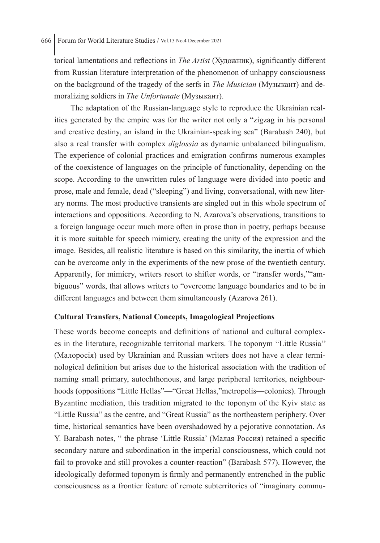torical lamentations and reflections in *The Artist* (Художник), significantly different from Russian literature interpretation of the phenomenon of unhappy consciousness on the background of the tragedy of the serfs in *The Musician* (Музыкант) and demoralizing soldiers in *The Unfortunate* (Музыкант).

The adaptation of the Russian-language style to reproduce the Ukrainian realities generated by the empire was for the writer not only a "zigzag in his personal and creative destiny, an island in the Ukrainian-speaking sea" (Barabash 240), but also a real transfer with complex *diglossia* as dynamic unbalanced bilingualism. The experience of colonial practices and emigration confirms numerous examples of the coexistence of languages on the principle of functionality, depending on the scope. According to the unwritten rules of language were divided into poetic and prose, male and female, dead ("sleeping") and living, conversational, with new literary norms. The most productive transients are singled out in this whole spectrum of interactions and oppositions. According to N. Azarova's observations, transitions to a foreign language occur much more often in prose than in poetry, perhaps because it is more suitable for speech mimicry, creating the unity of the expression and the image. Besides, all realistic literature is based on this similarity, the inertia of which can be overcome only in the experiments of the new prose of the twentieth century. Apparently, for mimicry, writers resort to shifter words, or "transfer words,""ambiguous" words, that allows writers to "overcome language boundaries and to be in different languages and between them simultaneously (Azarova 261).

# **Cultural Transfers, National Concepts, Imagological Projections**

These words become concepts and definitions of national and cultural complexes in the literature, recognizable territorial markers. The toponym "Little Russia'' (Малоросія) used by Ukrainian and Russian writers does not have a clear terminological definition but arises due to the historical association with the tradition of naming small primary, autochthonous, and large peripheral territories, neighbourhoods (oppositions "Little Hellas"—"Great Hellas,"metropolis—colonies). Through Byzantine mediation, this tradition migrated to the toponym of the Kyiv state as "Little Russia" as the centre, and "Great Russia" as the northeastern periphery. Over time, historical semantics have been overshadowed by a pejorative connotation. As Y. Barabash notes, " the phrase 'Little Russia' (Малая Россия) retained a specific secondary nature and subordination in the imperial consciousness, which could not fail to provoke and still provokes a counter-reaction" (Barabash 577). However, the ideologically deformed toponym is firmly and permanently entrenched in the public consciousness as a frontier feature of remote subterritories of "imaginary commu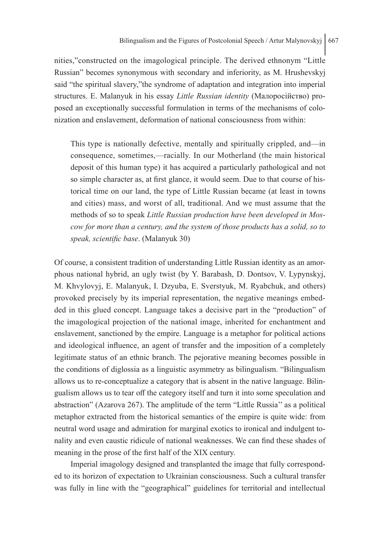nities,"constructed on the imagological principle. The derived ethnonym "Little Russian" becomes synonymous with secondary and inferiority, as M. Hrushevskyj said "the spiritual slavery,"the syndrome of adaptation and integration into imperial structures. E. Malanyuk in his essay *Little Russian identity* (Малоросійство) proposed an exceptionally successful formulation in terms of the mechanisms of colonization and enslavement, deformation of national consciousness from within:

This type is nationally defective, mentally and spiritually crippled, and—in consequence, sometimes,—racially. In our Motherland (the main historical deposit of this human type) it has acquired a particularly pathological and not so simple character as, at first glance, it would seem. Due to that course of historical time on our land, the type of Little Russian became (at least in towns and cities) mass, and worst of all, traditional. And we must assume that the methods of so to speak *Little Russian production have been developed in Moscow for more than a century, and the system of those products has a solid, so to speak, scientific base*. (Malanyuk 30)

Of course, a consistent tradition of understanding Little Russian identity as an amorphous national hybrid, an ugly twist (by Y. Barabash, D. Dontsov, V. Lypynskyj, M. Khvylovyj, E. Malanyuk, I. Dzyuba, E. Sverstyuk, M. Ryabchuk, and others) provoked precisely by its imperial representation, the negative meanings embedded in this glued concept. Language takes a decisive part in the "production" of the imagological projection of the national image, inherited for enchantment and enslavement, sanctioned by the empire. Language is a metaphor for political actions and ideological influence, an agent of transfer and the imposition of a completely legitimate status of an ethnic branch. The pejorative meaning becomes possible in the conditions of diglossia as a linguistic asymmetry as bilingualism. "Bilingualism allows us to re-conceptualize a category that is absent in the native language. Bilingualism allows us to tear off the category itself and turn it into some speculation and abstraction" (Azarova 267). The amplitude of the term "Little Russia'' as a political metaphor extracted from the historical semantics of the empire is quite wide: from neutral word usage and admiration for marginal exotics to ironical and indulgent tonality and even caustic ridicule of national weaknesses. We can find these shades of meaning in the prose of the first half of the XIX century.

Imperial imagology designed and transplanted the image that fully corresponded to its horizon of expectation to Ukrainian consciousness. Such a cultural transfer was fully in line with the "geographical" guidelines for territorial and intellectual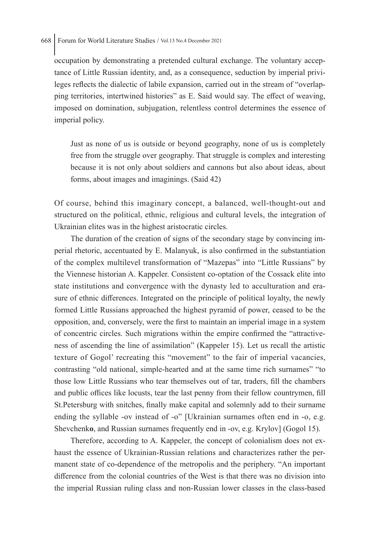occupation by demonstrating a pretended cultural exchange. The voluntary acceptance of Little Russian identity, and, as a consequence, seduction by imperial privileges reflects the dialectic of labile expansion, carried out in the stream of "overlapping territories, intertwined histories" as E. Said would say. The effect of weaving, imposed on domination, subjugation, relentless control determines the essence of imperial policy.

Just as none of us is outside or beyond geography, none of us is completely free from the struggle over geography. That struggle is complex and interesting because it is not only about soldiers and cannons but also about ideas, about forms, about images and imaginings. (Said 42)

Of course, behind this imaginary concept, a balanced, well-thought-out and structured on the political, ethnic, religious and cultural levels, the integration of Ukrainian elites was in the highest aristocratic circles.

The duration of the creation of signs of the secondary stage by convincing imperial rhetoric, accentuated by E. Malanyuk, is also confirmed in the substantiation of the complex multilevel transformation of "Mazepas" into "Little Russians" by the Viennese historian A. Kappeler. Consistent co-optation of the Cossack elite into state institutions and convergence with the dynasty led to acculturation and erasure of ethnic differences. Integrated on the principle of political loyalty, the newly formed Little Russians approached the highest pyramid of power, ceased to be the opposition, and, conversely, were the first to maintain an imperial image in a system of concentric circles. Such migrations within the empire confirmed the "attractiveness of ascending the line of assimilation" (Kappeler 15). Let us recall the artistic texture of Gogol' recreating this "movement" to the fair of imperial vacancies, contrasting "old national, simple-hearted and at the same time rich surnames" "to those low Little Russians who tear themselves out of tar, traders, fill the chambers and public offices like locusts, tear the last penny from their fellow countrymen, fill St.Petersburg with snitches, finally make capital and solemnly add to their surname ending the syllable -ov instead of -o" [Ukrainian surnames often end in -o, e.g. Shevchenk**o**, and Russian surnames frequently end in -ov, e.g. Krylov] (Gogol 15).

Therefore, according to A. Kappeler, the concept of colonialism does not exhaust the essence of Ukrainian-Russian relations and characterizes rather the permanent state of co-dependence of the metropolis and the periphery. "An important difference from the colonial countries of the West is that there was no division into the imperial Russian ruling class and non-Russian lower classes in the class-based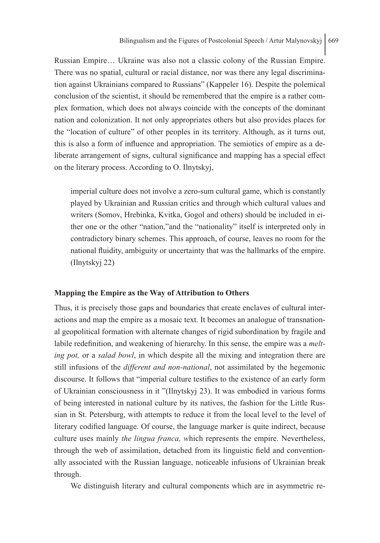Russian Empire… Ukraine was also not a classic colony of the Russian Empire. There was no spatial, cultural or racial distance, nor was there any legal discrimination against Ukrainians compared to Russians" (Kappeler 16). Despite the polemical conclusion of the scientist, it should be remembered that the empire is a rather complex formation, which does not always coincide with the concepts of the dominant nation and colonization. It not only appropriates others but also provides places for the "location of culture" of other peoples in its territory. Although, as it turns out, this is also a form of influence and appropriation. The semiotics of empire as a deliberate arrangement of signs, cultural significance and mapping has a special effect on the literary process. According to O. Ilnytskyj,

imperial culture does not involve a zero-sum cultural game, which is constantly played by Ukrainian and Russian critics and through which cultural values and writers (Somov, Hrebinka, Kvitka, Gogol and others) should be included in either one or the other "nation,"and the "nationality" itself is interpreted only in contradictory binary schemes. This approach, of course, leaves no room for the national fluidity, ambiguity or uncertainty that was the hallmarks of the empire. (Ilnytskyj 22)

#### **Mapping the Empire as the Way of Attribution to Others**

Thus, it is precisely those gaps and boundaries that create enclaves of cultural interactions and map the empire as a mosaic text. It becomes an analogue of transnational geopolitical formation with alternate changes of rigid subordination by fragile and labile redefinition, and weakening of hierarchy. In this sense, the empire was a *melting pot,* or a *salad bowl*, in which despite all the mixing and integration there are still infusions of the *different and non-national*, not assimilated by the hegemonic discourse. It follows that "imperial culture testifies to the existence of an early form of Ukrainian consciousness in it "(Ilnytskyj 23). It was embodied in various forms of being interested in national culture by its natives, the fashion for the Little Russian in St. Petersburg, with attempts to reduce it from the local level to the level of literary codified language. Of course, the language marker is quite indirect, because culture uses mainly *the lingua franca, w*hich represents the empire. Nevertheless, through the web of assimilation, detached from its linguistic field and conventionally associated with the Russian language, noticeable infusions of Ukrainian break through.

We distinguish literary and cultural components which are in asymmetric re-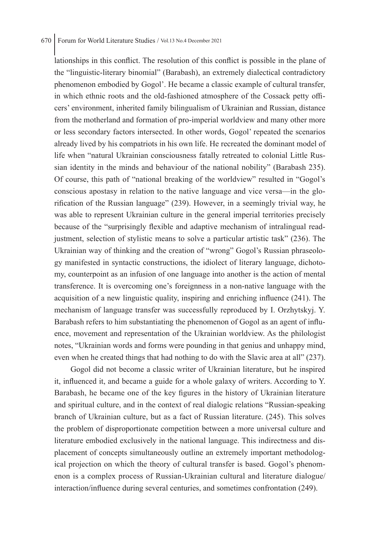lationships in this conflict. The resolution of this conflict is possible in the plane of the "linguistic-literary binomial" (Barabash), an extremely dialectical contradictory phenomenon embodied by Gogol'. He became a classic example of cultural transfer, in which ethnic roots and the old-fashioned atmosphere of the Cossack petty officers' environment, inherited family bilingualism of Ukrainian and Russian, distance from the motherland and formation of pro-imperial worldview and many other more or less secondary factors intersected. In other words, Gogol' repeated the scenarios already lived by his compatriots in his own life. He recreated the dominant model of life when "natural Ukrainian consciousness fatally retreated to colonial Little Russian identity in the minds and behaviour of the national nobility" (Barabash 235). Of course, this path of "national breaking of the worldview" resulted in "Gogol's conscious apostasy in relation to the native language and vice versa—in the glorification of the Russian language" (239). However, in a seemingly trivial way, he was able to represent Ukrainian culture in the general imperial territories precisely because of the "surprisingly flexible and adaptive mechanism of intralingual readjustment, selection of stylistic means to solve a particular artistic task" (236). The Ukrainian way of thinking and the creation of "wrong" Gogol's Russian phraseology manifested in syntactic constructions, the idiolect of literary language, dichotomy, counterpoint as an infusion of one language into another is the action of mental transference. It is overcoming one's foreignness in a non-native language with the acquisition of a new linguistic quality, inspiring and enriching influence (241). The mechanism of language transfer was successfully reproduced by I. Orzhytskyj. Y. Barabash refers to him substantiating the phenomenon of Gogol as an agent of influence, movement and representation of the Ukrainian worldview. As the philologist notes, "Ukrainian words and forms were pounding in that genius and unhappy mind, even when he created things that had nothing to do with the Slavic area at all" (237).

Gogol did not become a classic writer of Ukrainian literature, but he inspired it, influenced it, and became a guide for a whole galaxy of writers. According to Y. Barabash, he became one of the key figures in the history of Ukrainian literature and spiritual culture, and in the context of real dialogic relations "Russian-speaking branch of Ukrainian culture, but as a fact of Russian literature. (245). This solves the problem of disproportionate competition between a more universal culture and literature embodied exclusively in the national language. This indirectness and displacement of concepts simultaneously outline an extremely important methodological projection on which the theory of cultural transfer is based. Gogol's phenomenon is a complex process of Russian-Ukrainian cultural and literature dialogue/ interaction/influence during several centuries, and sometimes confrontation (249).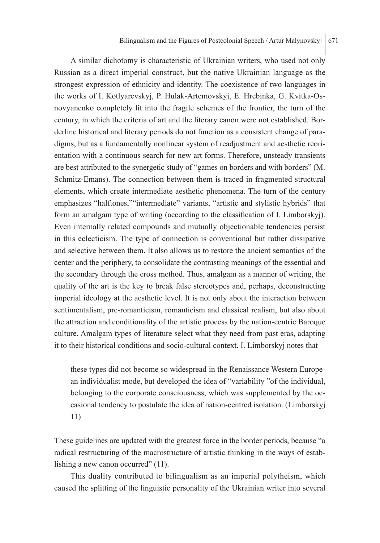A similar dichotomy is characteristic of Ukrainian writers, who used not only Russian as a direct imperial construct, but the native Ukrainian language as the strongest expression of ethnicity and identity. The coexistence of two languages in the works of I. Kotlyarevskyj, P. Hulak-Artemovskyj, E. Hrebinka, G. Kvitka-Osnovyanenko completely fit into the fragile schemes of the frontier, the turn of the century, in which the criteria of art and the literary canon were not established. Borderline historical and literary periods do not function as a consistent change of paradigms, but as a fundamentally nonlinear system of readjustment and aesthetic reorientation with a continuous search for new art forms. Therefore, unsteady transients are best attributed to the synergetic study of "games on borders and with borders" (M. Schmitz-Emans). The connection between them is traced in fragmented structural elements, which create intermediate aesthetic phenomena. The turn of the century emphasizes "halftones,""intermediate" variants, "artistic and stylistic hybrids" that form an amalgam type of writing (according to the classification of I. Limborskyj). Even internally related compounds and mutually objectionable tendencies persist in this eclecticism. The type of connection is conventional but rather dissipative and selective between them. It also allows us to restore the ancient semantics of the center and the periphery, to consolidate the contrasting meanings of the essential and the secondary through the cross method. Thus, amalgam as a manner of writing, the quality of the art is the key to break false stereotypes and, perhaps, deconstructing imperial ideology at the aesthetic level. It is not only about the interaction between sentimentalism, pre-romanticism, romanticism and classical realism, but also about the attraction and conditionality of the artistic process by the nation-centric Baroque culture. Amalgam types of literature select what they need from past eras, adapting it to their historical conditions and socio-cultural context. I. Limborskyj notes that

these types did not become so widespread in the Renaissance Western European individualist mode, but developed the idea of "variability "of the individual, belonging to the corporate consciousness, which was supplemented by the occasional tendency to postulate the idea of nation-centred isolation. (Limborskyj 11)

These guidelines are updated with the greatest force in the border periods, because "a radical restructuring of the macrostructure of artistic thinking in the ways of establishing a new canon occurred" (11).

This duality contributed to bilingualism as an imperial polytheism, which caused the splitting of the linguistic personality of the Ukrainian writer into several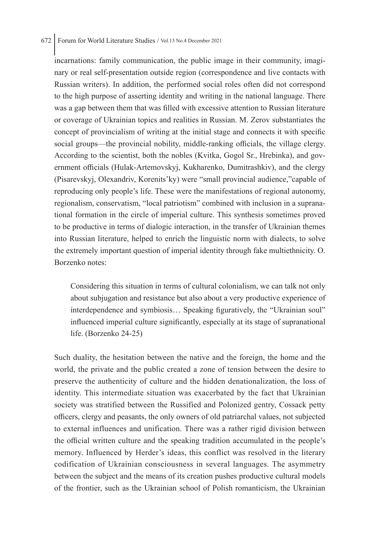incarnations: family communication, the public image in their community, imaginary or real self-presentation outside region (correspondence and live contacts with Russian writers). In addition, the performed social roles often did not correspond to the high purpose of asserting identity and writing in the national language. There was a gap between them that was filled with excessive attention to Russian literature or coverage of Ukrainian topics and realities in Russian. M. Zerov substantiates the concept of provincialism of writing at the initial stage and connects it with specific social groups—the provincial nobility, middle-ranking officials, the village clergy. According to the scientist, both the nobles (Kvitka, Gogol Sr., Hrebinka), and government officials (Hulak-Artemovskyj, Kukharenko, Dumitrashkiv), and the clergy (Pisarevskyj, Olexandriv, Korenits'ky) were "small provincial audience,"capable of reproducing only people's life. These were the manifestations of regional autonomy, regionalism, conservatism, "local patriotism" combined with inclusion in a supranational formation in the circle of imperial culture. This synthesis sometimes proved to be productive in terms of dialogic interaction, in the transfer of Ukrainian themes into Russian literature, helped to enrich the linguistic norm with dialects, to solve the extremely important question of imperial identity through fake multiethnicity. O. Borzenko notes:

Considering this situation in terms of cultural colonialism, we can talk not only about subjugation and resistance but also about a very productive experience of interdependence and symbiosis… Speaking figuratively, the "Ukrainian soul" influenced imperial culture significantly, especially at its stage of supranational life. (Borzenko 24-25)

Such duality, the hesitation between the native and the foreign, the home and the world, the private and the public created a zone of tension between the desire to preserve the authenticity of culture and the hidden denationalization, the loss of identity. This intermediate situation was exacerbated by the fact that Ukrainian society was stratified between the Russified and Polonized gentry, Cossack petty officers, clergy and peasants, the only owners of old patriarchal values, not subjected to external influences and unification. There was a rather rigid division between the official written culture and the speaking tradition accumulated in the people's memory. Influenced by Herder's ideas, this conflict was resolved in the literary codification of Ukrainian consciousness in several languages. The asymmetry between the subject and the means of its creation pushes productive cultural models of the frontier, such as the Ukrainian school of Polish romanticism, the Ukrainian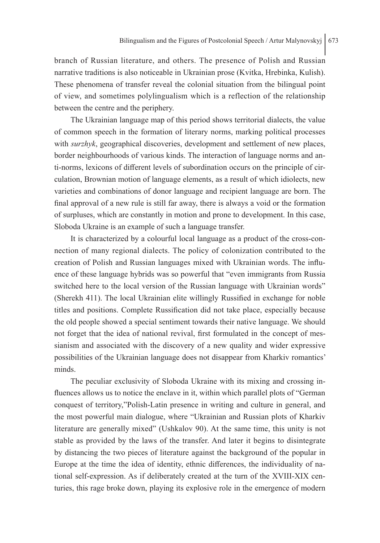branch of Russian literature, and others. The presence of Polish and Russian narrative traditions is also noticeable in Ukrainian prose (Kvitka, Hrebinka, Kulish). These phenomena of transfer reveal the colonial situation from the bilingual point of view, and sometimes polylingualism which is a reflection of the relationship between the centre and the periphery.

The Ukrainian language map of this period shows territorial dialects, the value of common speech in the formation of literary norms, marking political processes with *surzhyk*, geographical discoveries, development and settlement of new places, border neighbourhoods of various kinds. The interaction of language norms and anti-norms, lexicons of different levels of subordination occurs on the principle of circulation, Brownian motion of language elements, as a result of which idiolects, new varieties and combinations of donor language and recipient language are born. The final approval of a new rule is still far away, there is always a void or the formation of surpluses, which are constantly in motion and prone to development. In this case, Sloboda Ukraine is an example of such a language transfer.

It is characterized by a colourful local language as a product of the cross-connection of many regional dialects. The policy of colonization contributed to the creation of Polish and Russian languages mixed with Ukrainian words. The influence of these language hybrids was so powerful that "even immigrants from Russia switched here to the local version of the Russian language with Ukrainian words" (Sherekh 411). The local Ukrainian elite willingly Russified in exchange for noble titles and positions. Complete Russification did not take place, especially because the old people showed a special sentiment towards their native language. We should not forget that the idea of national revival, first formulated in the concept of messianism and associated with the discovery of a new quality and wider expressive possibilities of the Ukrainian language does not disappear from Kharkiv romantics' minds.

The peculiar exclusivity of Sloboda Ukraine with its mixing and crossing influences allows us to notice the enclave in it, within which parallel plots of "German conquest of territory,"Polish-Latin presence in writing and culture in general, and the most powerful main dialogue, where "Ukrainian and Russian plots of Kharkiv literature are generally mixed" (Ushkalov 90). At the same time, this unity is not stable as provided by the laws of the transfer. And later it begins to disintegrate by distancing the two pieces of literature against the background of the popular in Europe at the time the idea of identity, ethnic differences, the individuality of national self-expression. As if deliberately created at the turn of the XVIII-XIX centuries, this rage broke down, playing its explosive role in the emergence of modern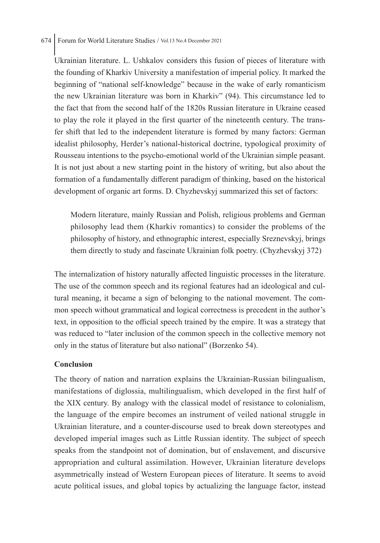Ukrainian literature. L. Ushkalov considers this fusion of pieces of literature with the founding of Kharkiv University a manifestation of imperial policy. It marked the beginning of "national self-knowledge" because in the wake of early romanticism the new Ukrainian literature was born in Kharkiv" (94). This circumstance led to the fact that from the second half of the 1820s Russian literature in Ukraine ceased to play the role it played in the first quarter of the nineteenth century. The transfer shift that led to the independent literature is formed by many factors: German idealist philosophy, Herder's national-historical doctrine, typological proximity of Rousseau intentions to the psycho-emotional world of the Ukrainian simple peasant. It is not just about a new starting point in the history of writing, but also about the formation of a fundamentally different paradigm of thinking, based on the historical development of organic art forms. D. Chyzhevskyj summarized this set of factors:

Modern literature, mainly Russian and Polish, religious problems and German philosophy lead them (Kharkiv romantics) to consider the problems of the philosophy of history, and ethnographic interest, especially Sreznevskyj, brings them directly to study and fascinate Ukrainian folk poetry. (Chyzhevskyj 372)

The internalization of history naturally affected linguistic processes in the literature. The use of the common speech and its regional features had an ideological and cultural meaning, it became a sign of belonging to the national movement. The common speech without grammatical and logical correctness is precedent in the author's text, in opposition to the official speech trained by the empire. It was a strategy that was reduced to "later inclusion of the common speech in the collective memory not only in the status of literature but also national" (Borzenko 54).

## **Conclusion**

The theory of nation and narration explains the Ukrainian-Russian bilingualism, manifestations of diglossia, multilingualism, which developed in the first half of the XIX century. By analogy with the classical model of resistance to colonialism, the language of the empire becomes an instrument of veiled national struggle in Ukrainian literature, and a counter-discourse used to break down stereotypes and developed imperial images such as Little Russian identity. The subject of speech speaks from the standpoint not of domination, but of enslavement, and discursive appropriation and cultural assimilation. However, Ukrainian literature develops asymmetrically instead of Western European pieces of literature. It seems to avoid acute political issues, and global topics by actualizing the language factor, instead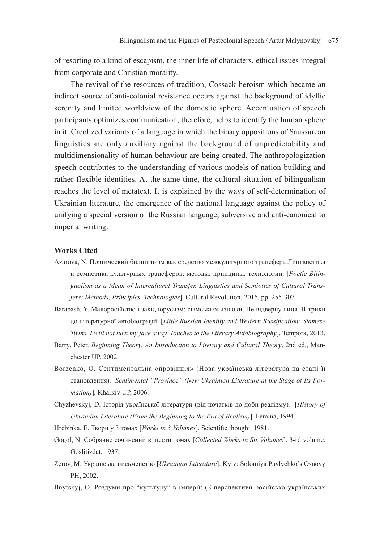of resorting to a kind of escapism, the inner life of characters, ethical issues integral from corporate and Christian morality.

The revival of the resources of tradition, Cossack heroism which became an indirect source of anti-colonial resistance occurs against the background of idyllic serenity and limited worldview of the domestic sphere. Accentuation of speech participants optimizes communication, therefore, helps to identify the human sphere in it. Creolized variants of a language in which the binary oppositions of Saussurean linguistics are only auxiliary against the background of unpredictability and multidimensionality of human behaviour are being created. The anthropologization speech contributes to the understanding of various models of nation-building and rather flexible identities. At the same time, the cultural situation of bilingualism reaches the level of metatext. It is explained by the ways of self-determination of Ukrainian literature, the emergence of the national language against the policy of unifying a special version of the Russian language, subversive and anti-canonical to imperial writing.

## **Works Cited**

- Azarova, N. Поэтический билингвизм как средство межкультурного трансфера Лингвистика и семиотика культурных трансферов: методы, принципы, технологии. [*Poetic Bilingualism as a Mean of Intercultural Transfer. Linguistics and Semiotics of Cultural Transfers: Methods, Principles, Technologies*]. Cultural Revolution, 2016, pp. 255-307.
- Barabash, Y. Малоросійство і західнорусизм: сіамські близнюки. Не відверну лиця. Штрихи до літературної автобіографії. [*Little Russian Identity and Western Russification: Siamese Twins. I will not turn my face away. Touches to the Literary Autobiography*]. Tempora, 2013.
- Barry, Peter. *Beginning Theory. An Introduction to Literary and Cultural Theory*. 2nd ed., Manchester UP, 2002.
- Borzenko, O. Сентиментальна «провінція» (Нова українська література на етапі її становлення). [*Sentimental "Province" (New Ukrainian Literature at the Stage of Its Formation)*]*.* Kharkiv UP, 2006.
- Chyzhevskyj, D. Історія української літератури (від початків до доби реалізму)*.* [*History of Ukrainian Literature (From the Beginning to the Era of Realism)*]. Femina, 1994.
- Hrebinka, E. Твори у 3 томах [*Works in 3 Volumes*]. Scientific thought, 1981.
- Gogol, N. Собрание сочинений в шести томах [*Collected Works in Six Volumes*]. 3-rd volume. Goslitizdat, 1937.
- Zerov, M. Українське письменство [*Ukrainian Literature*]. Kyiv: Solomiya Pavlychko's Osnovy PH, 2002.
- Ilnytskyj, O. Роздуми про "культуру" в імперії: (З перспективи російсько-українських